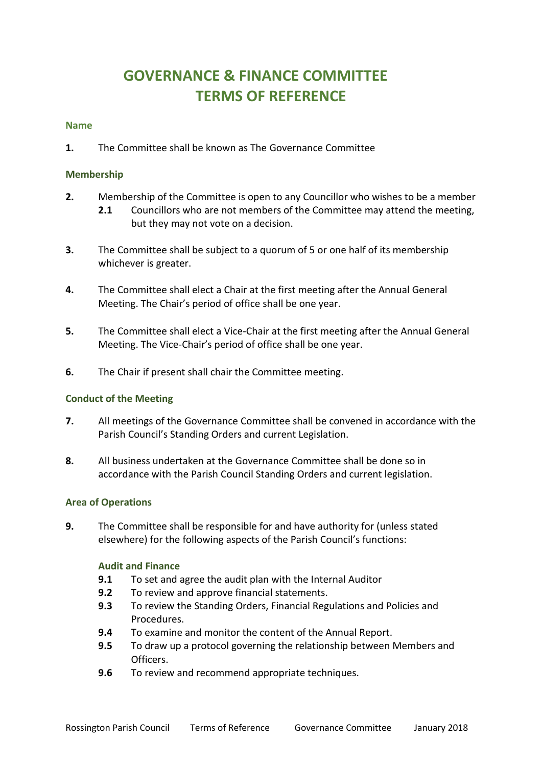# **GOVERNANCE & FINANCE COMMITTEE TERMS OF REFERENCE**

#### **Name**

**1.** The Committee shall be known as The Governance Committee

### **Membership**

- **2.** Membership of the Committee is open to any Councillor who wishes to be a member
	- **2.1** Councillors who are not members of the Committee may attend the meeting, but they may not vote on a decision.
- **3.** The Committee shall be subject to a quorum of 5 or one half of its membership whichever is greater.
- **4.** The Committee shall elect a Chair at the first meeting after the Annual General Meeting. The Chair's period of office shall be one year.
- **5.** The Committee shall elect a Vice-Chair at the first meeting after the Annual General Meeting. The Vice-Chair's period of office shall be one year.
- **6.** The Chair if present shall chair the Committee meeting.

### **Conduct of the Meeting**

- **7.** All meetings of the Governance Committee shall be convened in accordance with the Parish Council's Standing Orders and current Legislation.
- **8.** All business undertaken at the Governance Committee shall be done so in accordance with the Parish Council Standing Orders and current legislation.

### **Area of Operations**

**9.** The Committee shall be responsible for and have authority for (unless stated elsewhere) for the following aspects of the Parish Council's functions:

### **Audit and Finance**

- **9.1** To set and agree the audit plan with the Internal Auditor
- **9.2** To review and approve financial statements.
- **9.3** To review the Standing Orders, Financial Regulations and Policies and Procedures.
- **9.4** To examine and monitor the content of the Annual Report.
- **9.5** To draw up a protocol governing the relationship between Members and Officers.
- **9.6** To review and recommend appropriate techniques.